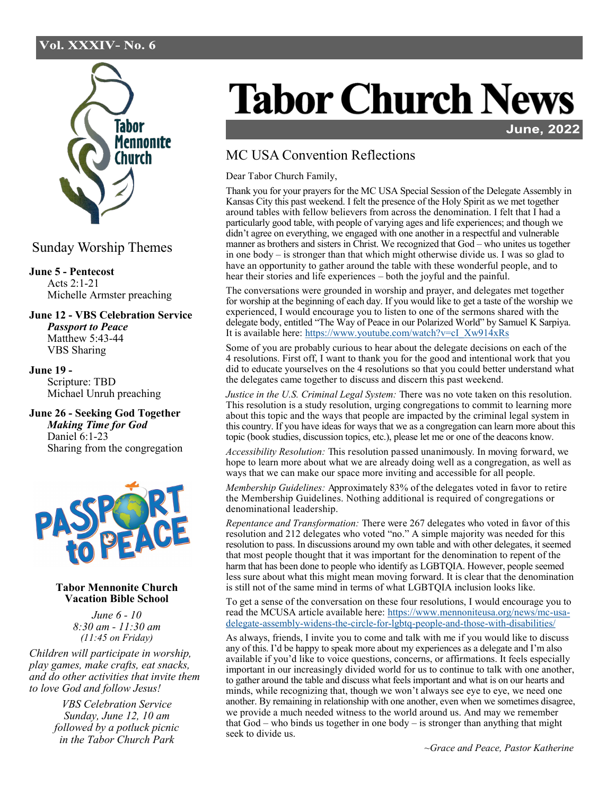## Vol. XXXIV- No. 6



Sunday Worship Themes

**June 5 - Pentecost** Acts 2:1-21 Michelle Armster preaching

**June 12 - VBS Celebration Service**  *Passport to Peace* Matthew 5:43-44 VBS Sharing

**June 19 -**  Scripture: TBD Michael Unruh preaching

**June 26 - Seeking God Together** *Making Time for God* Daniel 6:1-23 Sharing from the congregation



## **Tabor Mennonite Church Vacation Bible School**

*June 6 - 10 8:30 am - 11:30 am (11:45 on Friday)*

*Children will participate in worship, play games, make crafts, eat snacks, and do other activities that invite them to love God and follow Jesus!*

> *VBS Celebration Service Sunday, June 12, 10 am followed by a potluck picnic in the Tabor Church Park*

## **Tabor Church News**

**June, 2022** 

## MC USA Convention Reflections

Dear Tabor Church Family,

Thank you for your prayers for the MC USA Special Session of the Delegate Assembly in Kansas City this past weekend. I felt the presence of the Holy Spirit as we met together around tables with fellow believers from across the denomination. I felt that I had a particularly good table, with people of varying ages and life experiences; and though we didn't agree on everything, we engaged with one another in a respectful and vulnerable manner as brothers and sisters in Christ. We recognized that God – who unites us together in one body – is stronger than that which might otherwise divide us. I was so glad to have an opportunity to gather around the table with these wonderful people, and to hear their stories and life experiences – both the joyful and the painful.

The conversations were grounded in worship and prayer, and delegates met together for worship at the beginning of each day. If you would like to get a taste of the worship we experienced, I would encourage you to listen to one of the sermons shared with the delegate body, entitled "The Way of Peace in our Polarized World" by Samuel K Sarpiya. It is available here: [https://www.youtube.com/watch?v=cI\\_Xw914xRs](https://www.youtube.com/watch?v=cI_Xw914xRs)

Some of you are probably curious to hear about the delegate decisions on each of the 4 resolutions. First off, I want to thank you for the good and intentional work that you did to educate yourselves on the 4 resolutions so that you could better understand what the delegates came together to discuss and discern this past weekend.

*Justice in the U.S. Criminal Legal System:* There was no vote taken on this resolution. This resolution is a study resolution, urging congregations to commit to learning more about this topic and the ways that people are impacted by the criminal legal system in this country. If you have ideas for ways that we as a congregation can learn more about this topic (book studies, discussion topics, etc.), please let me or one of the deacons know.

*Accessibility Resolution:* This resolution passed unanimously. In moving forward, we hope to learn more about what we are already doing well as a congregation, as well as ways that we can make our space more inviting and accessible for all people.

*Membership Guidelines:* Approximately 83% of the delegates voted in favor to retire the Membership Guidelines. Nothing additional is required of congregations or denominational leadership.

*Repentance and Transformation:* There were 267 delegates who voted in favor of this resolution and 212 delegates who voted "no." A simple majority was needed for this resolution to pass. In discussions around my own table and with other delegates, it seemed that most people thought that it was important for the denomination to repent of the harm that has been done to people who identify as LGBTQIA. However, people seemed less sure about what this might mean moving forward. It is clear that the denomination is still not of the same mind in terms of what LGBTQIA inclusion looks like.

To get a sense of the conversation on these four resolutions, I would encourage you to read the MCUSA article available here: [https://www.mennoniteusa.org/news/mc](https://www.mennoniteusa.org/news/mc-usa-delegate-assembly-widens-the-circle-for-lgbtq-people-and-those-with-disabilities/)-usadelegate-assembly-widens-the-circle-for-lgbtq-people-and-those-with-[disabilities/](https://www.mennoniteusa.org/news/mc-usa-delegate-assembly-widens-the-circle-for-lgbtq-people-and-those-with-disabilities/)

As always, friends, I invite you to come and talk with me if you would like to discuss any of this. I'd be happy to speak more about my experiences as a delegate and I'm also available if you'd like to voice questions, concerns, or affirmations. It feels especially important in our increasingly divided world for us to continue to talk with one another, to gather around the table and discuss what feels important and what is on our hearts and minds, while recognizing that, though we won't always see eye to eye, we need one another. By remaining in relationship with one another, even when we sometimes disagree, we provide a much needed witness to the world around us. And may we remember that God – who binds us together in one body – is stronger than anything that might seek to divide us.

*~Grace and Peace, Pastor Katherine*